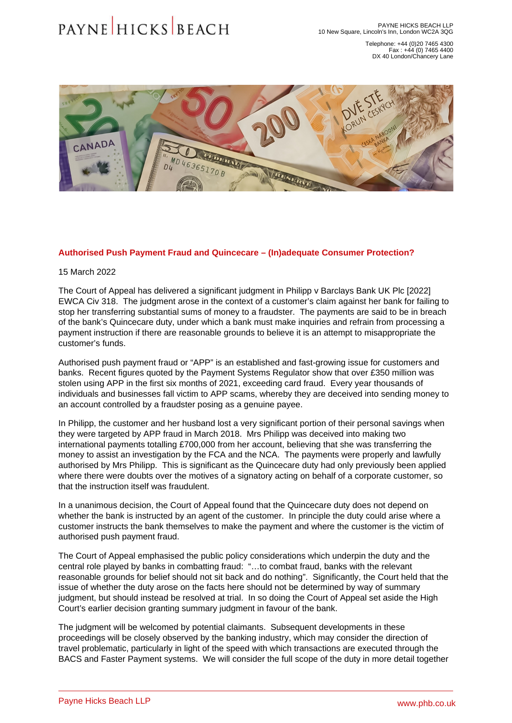Telephone: +44 (0)20 7465 4300 Fax : +44 (0) 7465 4400 DX 40 London/Chancery Lane

## Authorised Push Payment Fraud and Quincecare – (In)adequate Consumer Protection?

15 March 2022

The Court of Appeal has delivered a significant judgment in Philipp v Barclays Bank UK Plc [2022] EWCA Civ 318. The judgment arose in the context of a customer's claim against her bank for failing to stop her transferring substantial sums of money to a fraudster. The payments are said to be in breach of the bank's Quincecare duty, under which a bank must make inquiries and refrain from processing a payment instruction if there are reasonable grounds to believe it is an attempt to misappropriate the customer's funds.

Authorised push payment fraud or "APP" is an established and fast-growing issue for customers and banks. Recent figures quoted by the Payment Systems Regulator show that over £350 million was stolen using APP in the first six months of 2021, exceeding card fraud. Every year thousands of individuals and businesses fall victim to APP scams, whereby they are deceived into sending money to an account controlled by a fraudster posing as a genuine payee.

In Philipp, the customer and her husband lost a very significant portion of their personal savings when they were targeted by APP fraud in March 2018. Mrs Philipp was deceived into making two international payments totalling £700,000 from her account, believing that she was transferring the money to assist an investigation by the FCA and the NCA. The payments were properly and lawfully authorised by Mrs Philipp. This is significant as the Quincecare duty had only previously been applied where there were doubts over the motives of a signatory acting on behalf of a corporate customer, so that the instruction itself was fraudulent.

In a unanimous decision, the Court of Appeal found that the Quincecare duty does not depend on whether the bank is instructed by an agent of the customer. In principle the duty could arise where a customer instructs the bank themselves to make the payment and where the customer is the victim of authorised push payment fraud.

The Court of Appeal emphasised the public policy considerations which underpin the duty and the central role played by banks in combatting fraud: "…to combat fraud, banks with the relevant reasonable grounds for belief should not sit back and do nothing". Significantly, the Court held that the issue of whether the duty arose on the facts here should not be determined by way of summary judgment, but should instead be resolved at trial. In so doing the Court of Appeal set aside the High Court's earlier decision granting summary judgment in favour of the bank.

The judgment will be welcomed by potential claimants. Subsequent developments in these proceedings will be closely observed by the banking industry, which may consider the direction of travel problematic, particularly in light of the speed with which transactions are executed through the BACS and Faster Payment systems. We will consider the full scope of the duty in more detail together